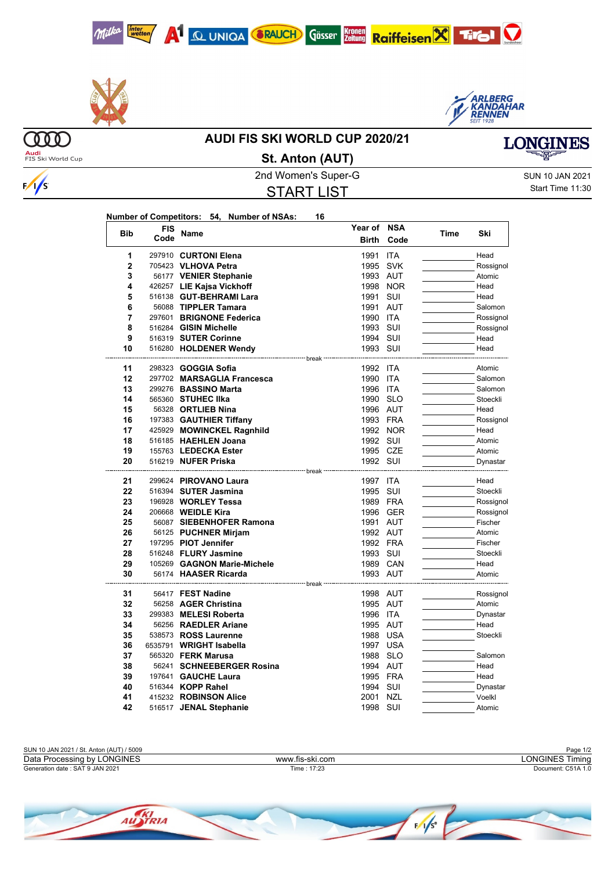





**MO Audi**<br>FIS Ski World Cup

 $\sqrt{s}$ 

## **AUDI FIS SKI WORLD CUP 2020/21**



2nd Women's Super-G Super-G SUN 10 JAN 2021 START LIST **St. Anton (AUT)**

**Year of NSA**

Start Time 11:30

| Number of Competitors: 54, Number of NSAs:<br>16 |
|--------------------------------------------------|
|--------------------------------------------------|

| <b>Bib</b>   | FIS  | Name                                                        | Year of               | <b>NSA</b> | Time | Ski       |
|--------------|------|-------------------------------------------------------------|-----------------------|------------|------|-----------|
|              | Code |                                                             | <b>Birth</b>          | Code       |      |           |
| 1            |      | 297910 CURTONI Elena                                        | 1991                  | <b>ITA</b> |      | Head      |
| $\mathbf{2}$ |      | 705423 VLHOVA Petra                                         | 1995                  | <b>SVK</b> |      | Rossignol |
| 3            |      | 56177 VENIER Stephanie                                      | 1993 AUT              |            |      | Atomic    |
| 4            |      | 426257 LIE Kajsa Vickhoff                                   | 1998                  | <b>NOR</b> |      | Head      |
| 5            |      | 516138 GUT-BEHRAMI Lara                                     | 1991                  | SUI        |      | Head      |
| 6            |      | 56088 TIPPLER Tamara                                        | 1991                  | <b>AUT</b> |      | Salomon   |
| 7            |      | 297601 BRIGNONE Federica                                    | 1990                  | <b>ITA</b> |      | Rossignol |
| 8            |      | 516284 GISIN Michelle                                       | 1993                  | SUI        |      | Rossignol |
| 9            |      | 516319 SUTER Corinne                                        | 1994 SUI              |            |      | Head      |
| 10           |      | 516280 HOLDENER Wendy                                       | 1993 SUI              |            |      | Head      |
| 11           |      | ------------------- break ---<br>298323 <b>GOGGIA Sofia</b> | 1992 ITA              |            |      | Atomic    |
| 12           |      | 297702 MARSAGLIA Francesca                                  | 1990                  | ITA        |      | Salomon   |
| 13           |      | 299276 BASSINO Marta                                        | 1996                  | <b>ITA</b> |      | Salomon   |
| 14           |      | 565360 STUHEC IIka                                          | 1990 SLO              |            |      | Stoeckli  |
| 15           |      | 56328 ORTLIEB Nina                                          | 1996 AUT              |            |      | Head      |
| 16           |      | 197383 GAUTHIER Tiffany                                     | 1993 FRA              |            |      | Rossignol |
| 17           |      | 425929 MOWINCKEL Ragnhild                                   |                       | 1992 NOR   |      | Head      |
| 18           |      | 516185 HAEHLEN Joana                                        | 1992 SUI              |            |      | Atomic    |
| 19           |      | 155763 LEDECKA Ester                                        | 1995 CZE              |            |      | Atomic    |
| 20           |      | 516219 NUFER Priska                                         | 1992 SUI              |            |      | Dynastar  |
|              |      |                                                             | <sup>----</sup> break |            |      |           |
| 21           |      | 299624 PIROVANO Laura                                       | 1997 ITA              |            |      | Head      |
| 22           |      | 516394 SUTER Jasmina                                        | 1995                  | SUI        |      | Stoeckli  |
| 23           |      | 196928 WORLEY Tessa                                         | 1989 FRA              |            |      | Rossignol |
| 24           |      | 206668 <b>WEIDLE Kira</b>                                   |                       | 1996 GER   |      | Rossignol |
| 25           |      | 56087 SIEBENHOFER Ramona                                    | 1991 AUT              |            |      | Fischer   |
| 26           |      | 56125 PUCHNER Mirjam                                        | 1992 AUT              |            |      | Atomic    |
| 27           |      | 197295 PIOT Jennifer                                        | 1992 FRA              |            |      | Fischer   |
| 28           |      | 516248 FLURY Jasmine                                        | 1993 SUI              |            |      | Stoeckli  |
| 29           |      | 105269 GAGNON Marie-Michele                                 | 1989 CAN              |            |      | Head      |
| 30           |      | 56174 HAASER Ricarda                                        | 1993 AUT              |            |      | Atomic    |
| 31           |      | 56417 FEST Nadine                                           | 1998 AUT              |            |      | Rossignol |
| 32           |      | 56258 AGER Christina                                        | 1995 AUT              |            |      | Atomic    |
| 33           |      | 299383 MELESI Roberta                                       | 1996 ITA              |            |      | Dynastar  |
| 34           |      | 56256 RAEDLER Ariane                                        | 1995 AUT              |            |      | Head      |
| 35           |      | 538573 ROSS Laurenne                                        | 1988                  | USA        |      | Stoeckli  |
| 36           |      | 6535791 WRIGHT Isabella                                     | 1997 USA              |            |      |           |
| 37           |      | 565320 <b>FERK Marusa</b>                                   | 1988                  | <b>SLO</b> |      | Salomon   |
| 38           |      | 56241 SCHNEEBERGER Rosina                                   | 1994 AUT              |            |      | Head      |
| 39           |      | 197641 GAUCHE Laura                                         | 1995 FRA              |            |      | Head      |
| 40           |      | 516344 KOPP Rahel                                           | 1994                  | SUI        |      | Dynastar  |
| 41           |      | 415232 ROBINSON Alice                                       | 2001                  | <b>NZL</b> |      | Voelkl    |
| 42           |      | 516517 JENAL Stephanie                                      | 1998                  | SUI        |      | Atomic    |